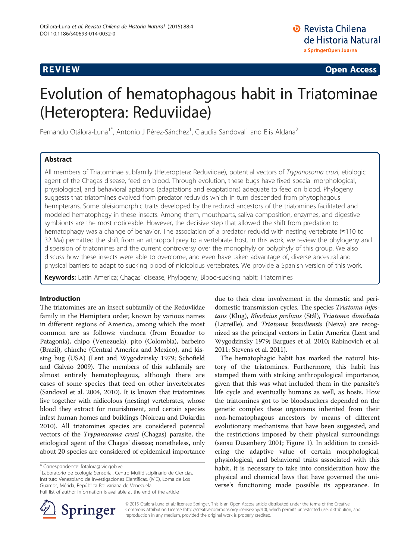**REVIEW CONTROL** REVIEW CONTROL CONTROL CONTROL CONTROL CONTROL CONTROL CONTROL CONTROL CONTROL CONTROL CONTROL CONTROL CONTROL CONTROL CONTROL CONTROL CONTROL CONTROL CONTROL CONTROL CONTROL CONTROL CONTROL CONTROL CONTRO

# Evolution of hematophagous habit in Triatominae (Heteroptera: Reduviidae)

Fernando Otálora-Luna<sup>1\*</sup>, Antonio J Pérez-Sánchez<sup>1</sup>, Claudia Sandoval<sup>1</sup> and Elis Aldana<sup>2</sup>

#### Abstract

All members of Triatominae subfamily (Heteroptera: Reduviidae), potential vectors of Trypanosoma cruzi, etiologic agent of the Chagas disease, feed on blood. Through evolution, these bugs have fixed special morphological, physiological, and behavioral aptations (adaptations and exaptations) adequate to feed on blood. Phylogeny suggests that triatomines evolved from predator reduvids which in turn descended from phytophagous hemipterans. Some pleisiomorphic traits developed by the reduvid ancestors of the triatomines facilitated and modeled hematophagy in these insects. Among them, mouthparts, saliva composition, enzymes, and digestive symbionts are the most noticeable. However, the decisive step that allowed the shift from predation to hematophagy was a change of behavior. The association of a predator reduvid with nesting vertebrate (≈110 to 32 Ma) permitted the shift from an arthropod prey to a vertebrate host. In this work, we review the phylogeny and dispersion of triatomines and the current controversy over the monophyly or polyphyly of this group. We also discuss how these insects were able to overcome, and even have taken advantage of, diverse ancestral and physical barriers to adapt to sucking blood of nidicolous vertebrates. We provide a Spanish version of this work.

Keywords: Latin America; Chagas' disease; Phylogeny; Blood-sucking habit; Triatomines

#### Introduction

The triatomines are an insect subfamily of the Reduviidae family in the Hemiptera order, known by various names in different regions of America, among which the most common are as follows: vinchuca (from Ecuador to Patagonia), chipo (Venezuela), pito (Colombia), barbeiro (Brazil), chinche (Central America and Mexico), and kissing bug (USA) (Lent and Wygodzinsky [1979](#page-11-0); Schofield and Galvão [2009\)](#page-11-0). The members of this subfamily are almost entirely hematophagous, although there are cases of some species that feed on other invertebrates (Sandoval et al. [2004, 2010\)](#page-11-0). It is known that triatomines live together with nidicolous (nesting) vertebrates, whose blood they extract for nourishment, and certain species infest human homes and buildings (Noireau and Dujardin [2010\)](#page-11-0). All triatomines species are considered potential vectors of the Trypanosoma cruzi (Chagas) parasite, the etiological agent of the Chagas' disease; nonetheless, only about 20 species are considered of epidemical importance

Laboratorio de Ecología Sensorial, Centro Multidisciplinario de Ciencias, Instituto Venezolano de Investigaciones Científicas, (IVIC), Loma de Los Guamos, Mérida, República Bolivariana de Venezuela

due to their clear involvement in the domestic and peridomestic transmission cycles. The species Triatoma infestans (Klug), Rhodnius prolixus (Stål), Triatoma dimidiata (Latreille), and Triatoma brasiliensis (Neiva) are recognized as the principal vectors in Latin America (Lent and Wygodzinsky [1979](#page-11-0); Bargues et al. [2010;](#page-10-0) Rabinovich et al. [2011](#page-11-0); Stevens et al. [2011](#page-11-0)).

The hematophagic habit has marked the natural history of the triatomines. Furthermore, this habit has stamped them with striking anthropological importance, given that this was what included them in the parasite's life cycle and eventually humans as well, as hosts. How the triatomines got to be bloodsuckers depended on the genetic complex these organisms inherited from their non-hematophagous ancestors by means of different evolutionary mechanisms that have been suggested, and the restrictions imposed by their physical surroundings (sensu Dusenbery [2001](#page-10-0); Figure [1\)](#page-1-0). In addition to considering the adaptive value of certain morphological, physiological, and behavioral traits associated with this habit, it is necessary to take into consideration how the physical and chemical laws that have governed the universe's functioning made possible its appearance. In



© 2015 Otálora-Luna et al.; licensee Springer. This is an Open Access article distributed under the terms of the Creative Commons Attribution License (<http://creativecommons.org/licenses/by/4.0>), which permits unrestricted use, distribution, and reproduction in any medium, provided the original work is properly credited.

<sup>\*</sup> Correspondence: [fotalora@ivic.gob.ve](mailto:fotalora@ivic.gob.ve) <sup>1</sup>

Full list of author information is available at the end of the article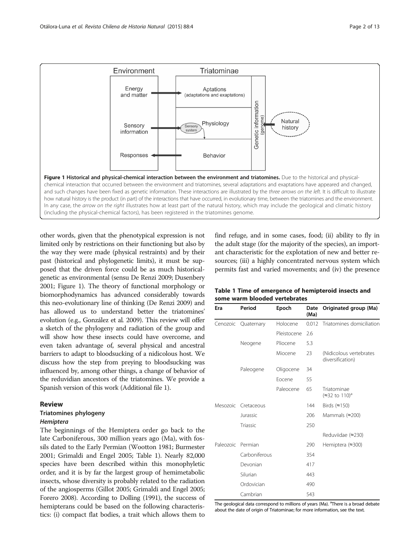

<span id="page-1-0"></span>

other words, given that the phenotypical expression is not limited only by restrictions on their functioning but also by the way they were made (physical restraints) and by their past (historical and phylogenetic limits), it must be supposed that the driven force could be as much historicalgenetic as environmental (sensu De Renzi [2009](#page-10-0); Dusenbery [2001;](#page-10-0) Figure 1). The theory of functional morphology or biomorphodynamics has advanced considerably towards this neo-evolutionary line of thinking (De Renzi [2009\)](#page-10-0) and has allowed us to understand better the triatomines' evolution (e.g., González et al. [2009](#page-10-0)). This review will offer a sketch of the phylogeny and radiation of the group and will show how these insects could have overcome, and even taken advantage of, several physical and ancestral barriers to adapt to bloodsucking of a nidicolous host. We discuss how the step from preying to bloodsucking was influenced by, among other things, a change of behavior of the reduvidian ancestors of the triatomines. We provide a Spanish version of this work (Additional file [1](#page-10-0)).

#### Review

## Triatomines phylogeny

Hemiptera The beginnings of the Hemiptera order go back to the late Carboniferous, 300 million years ago (Ma), with fossils dated to the Early Permian (Wootton [1981](#page-12-0); Burmester [2001;](#page-10-0) Grimaldi and Engel [2005](#page-11-0); Table 1). Nearly 82,000 species have been described within this monophyletic order, and it is by far the largest group of hemimetabolic insects, whose diversity is probably related to the radiation of the angiosperms (Gillot [2005;](#page-10-0) Grimaldi and Engel [2005](#page-11-0); Forero [2008](#page-10-0)). According to Dolling ([1991\)](#page-10-0), the success of hemipterans could be based on the following characteristics: (i) compact flat bodies, a trait which allows them to

find refuge, and in some cases, food; (ii) ability to fly in the adult stage (for the majority of the species), an important characteristic for the explotation of new and better resources; (iii) a highly concentrated nervous system which permits fast and varied movements; and (iv) the presence

| Table 1 Time of emergence of hemipteroid insects and |  |  |
|------------------------------------------------------|--|--|
| some warm blooded vertebrates                        |  |  |

| Era       | Period        | Epoch       | Date<br>(Ma) | Originated group (Ma)                       |
|-----------|---------------|-------------|--------------|---------------------------------------------|
| Cenozoic  | Quaternary    | Holocene    | 0.012        | Triatomines domiciliation                   |
|           |               | Pleistocene | 2.6          |                                             |
|           | Neogene       | Pliocene    | 5.3          |                                             |
|           |               | Miocene     | 23           | (Nidicolous vertebrates<br>diversification) |
|           | Paleogene     | Oligocene   | 34           |                                             |
|           |               | Eocene      | 55           |                                             |
|           |               | Paleocene   | 65           | Triatominae<br>$(≈32$ to 110) <sup>a</sup>  |
| Mesozoic  | Cretaceous    |             | 144          | Birds $(*150)$                              |
|           | Jurassic      |             | 206          | Mammals $(\approx 200)$                     |
|           | Triassic      |             | 250          |                                             |
|           |               |             |              | Reduviidae (≈230)                           |
| Paleozoic | Permian       |             | 290          | Hemiptera (≈300)                            |
|           | Carboniferous |             | 354          |                                             |
|           | Devonian      |             | 417          |                                             |
|           | Silurian      |             | 443          |                                             |
|           | Ordovician    |             | 490          |                                             |
|           | Cambrian      |             | 543          |                                             |

The geological data correspond to millions of years (Ma). <sup>a</sup>There is a broad debate about the date of origin of Triatominae; for more information, see the text.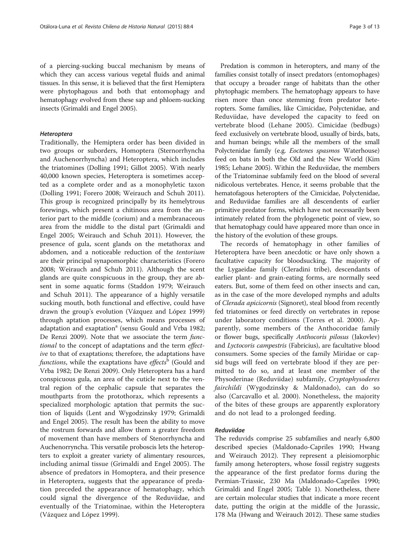of a piercing-sucking buccal mechanism by means of which they can access various vegetal fluids and animal tissues. In this sense, it is believed that the first Hemiptera were phytophagous and both that entomophagy and hematophagy evolved from these sap and phloem-sucking insects (Grimaldi and Engel [2005](#page-11-0)).

#### Heteroptera

Traditionally, the Hemiptera order has been divided in two groups or suborders, Homoptera (Sternorrhyncha and Auchenorrhyncha) and Heteroptera, which includes the triatomines (Dolling [1991;](#page-10-0) Gillot [2005](#page-10-0)). With nearly 40,000 known species, Heteroptera is sometimes accepted as a complete order and as a monophyletic taxon (Dolling [1991](#page-10-0); Forero [2008;](#page-10-0) Weirauch and Schuh [2011](#page-12-0)). This group is recognized principally by its hemelytrous forewings, which present a chitinous area from the anterior part to the middle (corium) and a membranaceous area from the middle to the distal part (Grimaldi and Engel [2005;](#page-11-0) Weirauch and Schuh [2011\)](#page-12-0). However, the presence of gula, scent glands on the metathorax and abdomen, and a noticeable reduction of the tentorium are their principal synapomorphic characteristics (Forero [2008](#page-10-0); Weirauch and Schuh [2011](#page-12-0)). Although the scent glands are quite conspicuous in the group, they are absent in some aquatic forms (Staddon [1979](#page-11-0); Weirauch and Schuh [2011\)](#page-12-0). The appearance of a highly versatile sucking mouth, both functional and effective, could have drawn the group's evolution (Vázquez and López [1999](#page-11-0)) through aptation processes, which means processes of adaptation and exaptation<sup>a</sup> (sensu Gould and Vrba [1982](#page-10-0); De Renzi [2009](#page-10-0)). Note that we associate the term functional to the concept of adaptations and the term effective to that of exaptations; therefore, the adaptations have functions, while the exaptations have effects<sup>b</sup> (Gould and Vrba [1982](#page-10-0); De Renzi [2009](#page-10-0)). Only Heteroptera has a hard conspicuous gula, an area of the cuticle next to the ventral region of the cephalic capsule that separates the mouthparts from the protothorax, which represents a specialized morphologic aptation that permits the suction of liquids (Lent and Wygodzinsky [1979](#page-11-0); Grimaldi and Engel [2005](#page-11-0)). The result has been the ability to move the rostrum forwards and allow them a greater freedom of movement than have members of Stenorrhyncha and Auchenorryncha. This versatile proboscis lets the heteropters to exploit a greater variety of alimentary resources, including animal tissue (Grimaldi and Engel [2005](#page-11-0)). The absence of predators in Homoptera, and their presence in Heteroptera, suggests that the appearance of predation preceded the appearance of hematophagy, which could signal the divergence of the Reduviidae, and eventually of the Triatominae, within the Heteroptera (Vázquez and López [1999\)](#page-11-0).

Predation is common in heteropters, and many of the families consist totally of insect predators (entomophages) that occupy a broader range of habitats than the other phytophagic members. The hematophagy appears to have risen more than once stemming from predator heteropters. Some families, like Cimicidae, Polyctenidae, and Reduviidae, have developed the capacity to feed on vertebrate blood (Lehane [2005\)](#page-11-0). Cimicidae (bedbugs) feed exclusively on vertebrate blood, usually of birds, bats, and human beings; while all the members of the small Polyctenidae family (e.g. Eoctenes spasmos Waterhouse) feed on bats in both the Old and the New World (Kim [1985](#page-11-0); Lehane [2005\)](#page-11-0). Within the Reduviidae, the members of the Triatominae subfamily feed on the blood of several nidicolous vertebrates. Hence, it seems probable that the hematofagous heteropters of the Cimicidae, Polyctenidae, and Reduviidae families are all descendents of earlier primitive predator forms, which have not necessarily been intimately related from the phylogenetic point of view, so that hematophagy could have appeared more than once in the history of the evolution of these groups.

The records of hematophagy in other families of Heteroptera have been anecdotic or have only shown a facultative capacity for bloodsucking. The majority of the Lygaeidae family (Cleradini tribe), descendants of earlier plant- and grain-eating forms, are normally seed eaters. But, some of them feed on other insects and can, as in the case of the more developed nymphs and adults of Clerada apicicornis (Signoret), steal blood from recently fed triatomines or feed directly on vertebrates in repose under laboratory conditions (Torres et al. [2000](#page-11-0)). Apparently, some members of the Anthocoridae family or flower bugs, specifically Anthocoris pilosus (Jakovlev) and Lyctocoris campestris (Fabricius), are facultative blood consumers. Some species of the family Miridae or capsid bugs will feed on vertebrate blood if they are permitted to do so, and at least one member of the Physoderinae (Reduviidae) subfamily, Cryptophysoderes fairchildi (Wygodzinsky & Maldonado), can do so also (Carcavallo et al. [2000](#page-10-0)). Nonetheless, the majority of the bites of these groups are apparently exploratory and do not lead to a prolonged feeding.

#### Reduviidae

The reduvids comprise 25 subfamilies and nearly 6,800 described species (Maldonado-Capriles [1990](#page-11-0); Hwang and Weirauch [2012](#page-11-0)). They represent a pleisiomorphic family among heteropters, whose fossil registry suggests the appearance of the first predator forms during the Permian-Triassic, 230 Ma (Maldonado-Capriles [1990](#page-11-0); Grimaldi and Engel [2005](#page-11-0); Table [1\)](#page-1-0). Nonetheless, there are certain molecular studies that indicate a more recent date, putting the origin at the middle of the Jurassic, 178 Ma (Hwang and Weirauch [2012](#page-11-0)). These same studies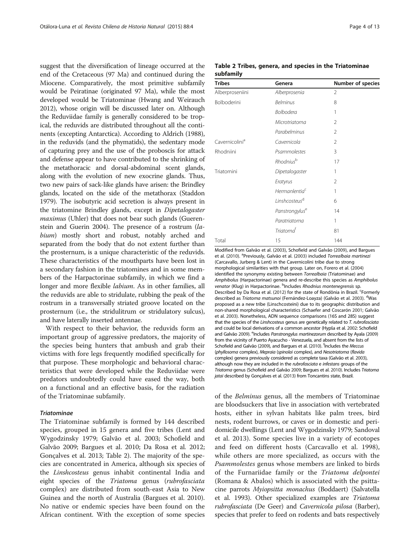suggest that the diversification of lineage occurred at the end of the Cretaceous (97 Ma) and continued during the Miocene. Comparatively, the most primitive subfamily would be Peiratinae (originated 97 Ma), while the most developed would be Triatominae (Hwang and Weirauch [2012\)](#page-11-0), whose origin will be discussed later on. Although the Reduviidae family is generally considered to be tropical, the reduvids are distributed throughout all the continents (excepting Antarctica). According to Aldrich [\(1988](#page-10-0)), in the reduvids (and the phymatids), the sedentary mode of capturing prey and the use of the proboscis for attack and defense appear to have contributed to the shrinking of the metathoracic and dorsal-abdominal scent glands, along with the evolution of new exocrine glands. Thus, two new pairs of sack-like glands have arisen: the Brindley glands, located on the side of the metathorax (Staddon [1979\)](#page-11-0). The isobutyric acid secretion is always present in the triatomine Brindley glands, except in Dipetalogaster maximus (Uhler) that does not bear such glands (Guerenstein and Guerin [2004](#page-11-0)). The presence of a rostrum (labium) mostly short and robust, notably arched and separated from the body that do not extent further than the prosternum, is a unique characteristic of the reduvids. These characteristics of the mouthparts have been lost in a secondary fashion in the triatomines and in some members of the Harpactorinae subfamily, in which we find a longer and more flexible labium. As in other families, all the reduvids are able to stridulate, rubbing the peak of the rostrum in a transversally striated groove located on the prosternum (i.e., the stridulitrum or stridulatory sulcus), and have laterally inserted antennae.

With respect to their behavior, the reduvids form an important group of aggressive predators, the majority of the species being hunters that ambush and grab their victims with fore legs frequently modified specifically for that purpose. These morphologic and behavioral characteristics that were developed while the Reduviidae were predators undoubtedly could have eased the way, both on a functional and an effective basis, for the radiation of the Triatominae subfamily.

#### **Triatominae**

The Triatominae subfamily is formed by 144 described species, grouped in 15 genera and five tribes (Lent and Wygodzinsky [1979](#page-11-0); Galvão et al. [2003;](#page-10-0) Schofield and Galvão [2009;](#page-11-0) Bargues et al. [2010](#page-10-0); Da Rosa et al. [2012](#page-10-0); Gonçalves et al. [2013;](#page-10-0) Table 2). The majority of the species are concentrated in America, although six species of the Linshcosteus genus inhabit continental India and eight species of the Triatoma genus (rubrofasciata complex) are distributed from south-east Asia to New Guinea and the north of Australia (Bargues et al. [2010](#page-10-0)). No native or endemic species have been found on the African continent. With the exception of some species

| Table 2 Tribes, genera, and species in the Triatominae |  |  |  |  |
|--------------------------------------------------------|--|--|--|--|
| subfamily                                              |  |  |  |  |

| <b>Tribes</b>              | Genera                     | Number of species |
|----------------------------|----------------------------|-------------------|
| Alberproseniini            | Alberprosenia              | 2                 |
| Bolboderini                | <b>Belminus</b>            | 8                 |
|                            | Bolbodera                  | 1                 |
|                            | Microtriatoma              | $\overline{2}$    |
|                            | Parabelminus               | 2                 |
| Cavernicolini <sup>a</sup> | Cavernicola                | 2                 |
| Rhodniini                  | Psammolestes               | 3                 |
|                            | Rhodnius <sup>b</sup>      | 17                |
| Triatomini                 | Dipetalogaster             | 1                 |
|                            | Eratyrus                   | 2                 |
|                            | Hermanlentia <sup>c</sup>  | 1                 |
|                            | Linshcosteus <sup>d</sup>  | 6                 |
|                            | Panstrongylus <sup>e</sup> | 14                |
|                            | Paratriatoma               | 1                 |
|                            | Triatoma <sup>t</sup>      | 81                |
| Total                      | 15                         | 144               |

Modified from Galvão et al. [\(2003\)](#page-10-0), Schofield and Galvão ([2009\)](#page-11-0), and Bargues et al. [\(2010](#page-10-0)). <sup>a</sup>Previously, Galvão et al. ([2003](#page-10-0)) included Torrealbaia martinez (Carcavallo, Jurberg & Lent) in the Cavernicolini tribe due to strong morphological similarities with that group. Later on, Forero et al. ([2004\)](#page-10-0) identified the synonymy existing between Torrealbaia (Triatominae) and Amphibolus (Harpactorinae) genera and re-describe this species as Amphibolus venator (Klug) in Harpactorinae. <sup>b</sup>Includes Rhodnius montenegrensis sp. Described by Da Rosa et al. [\(2012\)](#page-10-0) for the state of Rondônia in Brazil. 'Formerly described as Triatoma matsunoi (Fernández-Loayza) (Galvão et al. [2003\)](#page-10-0). <sup>d</sup>Was proposed as a new tribe (Linschcosteini) due to its geographic distribution and non-shared morphological characteristics (Schaefer and Coscarón [2001](#page-11-0); Galvão et al. [2003](#page-10-0)). Nonetheless, ADN sequence comparisons (16S and 28S) suggest that the species of the Linshcosteus genus are genetically related to T. rubrofasciata and could be local derivations of a common ancestor (Hypša et al. [2002](#page-11-0): Schofield and Galvão [2009](#page-11-0)). <sup>e</sup>Includes Panstrongylus martinezorum described by Ayala [\(2009\)](#page-10-0) from the vicinity of Puerto Ayacucho - Venezuela, and absent from the lists of Schofield and Galvão ([2009](#page-11-0)), and Bargues et al. [\(2010\)](#page-10-0). <sup>f</sup>Includes the Meccus (phyllosoma complex), Mepraia (spinolai complex), and Nesotriatoma (flavida complex) genera previously considered as complete taxa (Galvão et al. [2003](#page-10-0)), although now they are included in the rubrofasciata e infestans groups of the Triatoma genus (Schofield and Galvão [2009;](#page-11-0) Bargues et al. [2010](#page-10-0)). Includes Triatoma jatai described by Gonçalves et al. ([2013\)](#page-10-0) from Toncantins state, Brazil.

of the Belminus genus, all the members of Triatominae are bloodsuckers that live in association with vertebrated hosts, either in sylvan habitats like palm trees, bird nests, rodent burrows, or caves or in domestic and peridomicile dwellings (Lent and Wygodzinsky [1979;](#page-11-0) Sandoval et al. [2013\)](#page-11-0). Some species live in a variety of ecotopes and feed on different hosts (Carcavallo et al. [1998](#page-10-0)), while others are more specialized, as occurs with the Psammolestes genus whose members are linked to birds of the Furnariidae family or the Triatoma delpontei (Romana & Abalos) which is associated with the psittacine parrots Myiopsitta monachus (Boddaert) (Salvatella et al. [1993](#page-11-0)). Other specialized examples are Triatoma rubrofasciata (De Geer) and Cavernicola pilosa (Barber), species that prefer to feed on rodents and bats respectively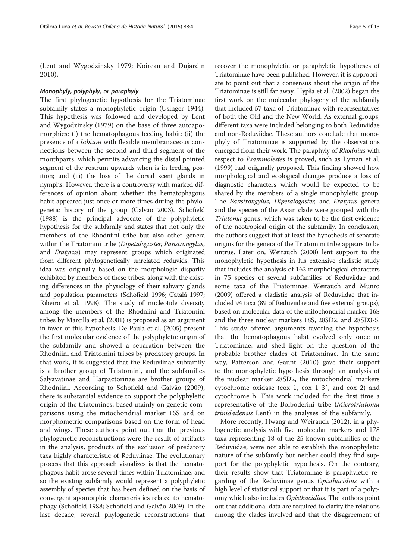(Lent and Wygodzinsky [1979](#page-11-0); Noireau and Dujardin [2010](#page-11-0)).

#### Monophyly, polyphyly, or paraphyly

The first phylogenetic hypothesis for the Triatominae subfamily states a monophyletic origin (Usinger [1944](#page-11-0)). This hypothesis was followed and developed by Lent and Wygodzinsky ([1979\)](#page-11-0) on the base of three autoapomorphies: (i) the hematophagous feeding habit; (ii) the presence of a labium with flexible membranaceous connections between the second and third segment of the mouthparts, which permits advancing the distal pointed segment of the rostrum upwards when is in feeding position; and (iii) the loss of the dorsal scent glands in nymphs. However, there is a controversy with marked differences of opinion about whether the hematophagous habit appeared just once or more times during the phylogenetic history of the group (Galvão [2003\)](#page-10-0). Schofield ([1988](#page-11-0)) is the principal advocate of the polyphyletic hypothesis for the subfamily and states that not only the members of the Rhodniini tribe but also other genera within the Triatomini tribe (*Dipetalogaster*, *Panstrongylus*, and Eratyrus) may represent groups which originated from different phylogenetically unrelated reduvids. This idea was originally based on the morphologic disparity exhibited by members of these tribes, along with the existing differences in the physiology of their salivary glands and population parameters (Schofield [1996](#page-11-0); Catalá [1997](#page-10-0); Ribeiro et al. [1998\)](#page-11-0). The study of nucleotide diversity among the members of the Rhodniini and Triatomini tribes by Marcilla et al. ([2001\)](#page-11-0) is proposed as an argument in favor of this hypothesis. De Paula et al. [\(2005](#page-10-0)) present the first molecular evidence of the polyphyletic origin of the subfamily and showed a separation between the Rhodniini and Triatomini tribes by predatory groups. In that work, it is suggested that the Reduviinae subfamily is a brother group of Triatomini, and the subfamilies Salyavatinae and Harpactorinae are brother groups of Rhodniini. According to Schofield and Galvão [\(2009](#page-11-0)), there is substantial evidence to support the polyphyletic origin of the triatomines, based mainly on genetic comparisons using the mitochondrial marker 16S and on morphometric comparisons based on the form of head and wings. These authors point out that the previous phylogenetic reconstructions were the result of artifacts in the analysis, products of the exclusion of predatory taxa highly characteristic of Reduviinae. The evolutionary process that this approach visualizes is that the hematophagous habit arose several times within Triatominae, and so the existing subfamily would represent a polyphyletic assembly of species that has been defined on the basis of convergent apomorphic characteristics related to hematophagy (Schofield [1988](#page-11-0); Schofield and Galvão [2009](#page-11-0)). In the last decade, several phylogenetic reconstructions that

recover the monophyletic or paraphyletic hypotheses of Triatominae have been published. However, it is appropriate to point out that a consensus about the origin of the Triatominae is still far away. Hypša et al. [\(2002](#page-11-0)) began the first work on the molecular phylogeny of the subfamily that included 57 taxa of Triatominae with representatives of both the Old and the New World. As external groups, different taxa were included belonging to both Reduviidae and non-Reduviidae. These authors conclude that monophyly of Triatominae is supported by the observations emerged from their work. The paraphyly of Rhodnius with respect to Psammolestes is proved, such as Lyman et al. ([1999](#page-11-0)) had originally proposed. This finding showed how morphological and ecological changes produce a loss of diagnostic characters which would be expected to be shared by the members of a single monophyletic group. The Panstrongylus, Dipetalogaster, and Eratyrus genera and the species of the Asian clade were grouped with the Triatoma genus, which was taken to be the first evidence of the neotropical origin of the subfamily. In conclusion, the authors suggest that at least the hypothesis of separate origins for the genera of the Triatomini tribe appears to be untrue. Later on, Weirauch [\(2008](#page-12-0)) lent support to the monophyletic hypothesis in his extensive cladistic study that includes the analysis of 162 morphological characters in 75 species of several subfamilies of Reduviidae and some taxa of the Triatominae. Weirauch and Munro ([2009](#page-12-0)) offered a cladistic analysis of Reduviidae that included 94 taxa (89 of Reduviidae and five external groups), based on molecular data of the mitochondrial marker 16S and the three nuclear markers 18S, 28SD2, and 28SD3-5. This study offered arguments favoring the hypothesis that the hematophagous habit evolved only once in Triatominae, and shed light on the question of the probable brother clades of Triatominae. In the same way, Patterson and Gaunt ([2010](#page-11-0)) gave their support to the monophyletic hypothesis through an analysis of the nuclear marker 28SD2, the mitochondrial markers cytochrome oxidase (cox 1, cox 1 3′, and cox 2) and cytochrome b. This work included for the first time a representative of the Bolboderini tribe (Microtriatoma trinidadensis Lent) in the analyses of the subfamily.

More recently, Hwang and Weirauch [\(2012\)](#page-11-0), in a phylogenetic analysis with five molecular markers and 178 taxa representing 18 of the 25 known subfamilies of the Reduviidae, were not able to establish the monophyletic nature of the subfamily but neither could they find support for the polyphyletic hypothesis. On the contrary, their results show that Triatominae is paraphyletic regarding of the Reduviinae genus Opisthacidius with a high level of statistical support or that it is part of a polytomy which also includes *Opisthacidius*. The authors point out that additional data are required to clarify the relations among the clades involved and that the disagreement of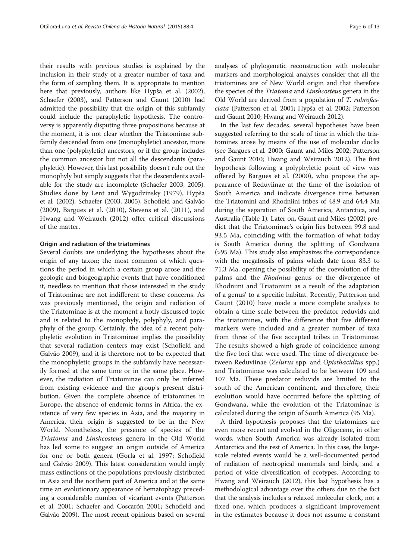their results with previous studies is explained by the inclusion in their study of a greater number of taxa and the form of sampling them. It is appropriate to mention here that previously, authors like Hypša et al. [\(2002](#page-11-0)), Schaefer [\(2003\)](#page-11-0), and Patterson and Gaunt ([2010](#page-11-0)) had admitted the possibility that the origin of this subfamily could include the paraphyletic hypothesis. The controversy is apparently disputing three propositions because at the moment, it is not clear whether the Triatominae subfamily descended from one (monophyletic) ancestor, more than one (polyphyletic) ancestors, or if the group includes the common ancestor but not all the descendants (paraphyletic). However, this last possibility doesn't rule out the monophyly but simply suggests that the descendents available for the study are incomplete (Schaefer [2003, 2005](#page-11-0)). Studies done by Lent and Wygodzinsky ([1979](#page-11-0)), Hypša et al. [\(2002](#page-11-0)), Schaefer [\(2003, 2005\)](#page-11-0), Schofield and Galvão ([2009\)](#page-11-0), Bargues et al. ([2010\)](#page-10-0), Stevens et al. ([2011](#page-11-0)), and Hwang and Weirauch ([2012](#page-11-0)) offer critical discussions of the matter.

#### Origin and radiation of the triatomines

Several doubts are underlying the hypotheses about the origin of any taxon; the most common of which questions the period in which a certain group arose and the geologic and biogeographic events that have conditioned it, needless to mention that those interested in the study of Triatominae are not indifferent to these concerns. As was previously mentioned, the origin and radiation of the Triatominae is at the moment a hotly discussed topic and is related to the monophyly, polyphyly, and paraphyly of the group. Certainly, the idea of a recent polyphyletic evolution in Triatominae implies the possibility that several radiation centers may exist (Schofield and Galvão [2009\)](#page-11-0), and it is therefore not to be expected that the monophyletic groups in the subfamily have necessarily formed at the same time or in the same place. However, the radiation of Triatominae can only be inferred from existing evidence and the group's present distribution. Given the complete absence of triatomines in Europe, the absence of endemic forms in Africa, the existence of very few species in Asia, and the majority in America, their origin is suggested to be in the New World. Nonetheless, the presence of species of the Triatoma and Linshcosteus genera in the Old World has led some to suggest an origin outside of America for one or both genera (Gorla et al. [1997;](#page-10-0) Schofield and Galvão [2009](#page-11-0)). This latest consideration would imply mass extinctions of the populations previously distributed in Asia and the northern part of America and at the same time an evolutionary appearance of hematophagy preceding a considerable number of vicariant events (Patterson et al. [2001](#page-11-0); Schaefer and Coscarón [2001;](#page-11-0) Schofield and Galvão [2009\)](#page-11-0). The most recent opinions based on several

analyses of phylogenetic reconstruction with molecular markers and morphological analyses consider that all the triatomines are of New World origin and that therefore the species of the Triatoma and Linshcosteus genera in the Old World are derived from a population of T. rubrofasciata (Patterson et al. [2001;](#page-11-0) Hypša et al. [2002;](#page-11-0) Patterson and Gaunt [2010](#page-11-0); Hwang and Weirauch [2012\)](#page-11-0).

In the last few decades, several hypotheses have been suggested referring to the scale of time in which the triatomines arose by means of the use of molecular clocks (see Bargues et al. [2000;](#page-10-0) Gaunt and Miles [2002](#page-10-0); Patterson and Gaunt [2010](#page-11-0); Hwang and Weirauch [2012](#page-11-0)). The first hypothesis following a polyphyletic point of view was offered by Bargues et al. ([2000\)](#page-10-0), who propose the appearance of Reduviinae at the time of the isolation of South America and indicate divergence time between the Triatomini and Rhodniini tribes of 48.9 and 64.4 Ma during the separation of South America, Antarctica, and Australia (Table [1](#page-1-0)). Later on, Gaunt and Miles [\(2002\)](#page-10-0) predict that the Triatominae's origin lies between 99.8 and 93.5 Ma, coinciding with the formation of what today is South America during the splitting of Gondwana (>95 Ma). This study also emphasizes the correspondence with the megafossils of palms which date from 83.3 to 71.3 Ma, opening the possibility of the coevolution of the palms and the Rhodnius genus or the divergence of Rhodniini and Triatomini as a result of the adaptation of a genus' to a specific habitat. Recently, Patterson and Gaunt [\(2010](#page-11-0)) have made a more complete analysis to obtain a time scale between the predator reduvids and the triatomines, with the difference that five different markers were included and a greater number of taxa from three of the five accepted tribes in Triatominae. The results showed a high grade of coincidence among the five loci that were used. The time of divergence between Reduviinae (Zelurus spp. and Opisthacidius spp.) and Triatominae was calculated to be between 109 and 107 Ma. These predator reduvids are limited to the south of the American continent, and therefore, their evolution would have occurred before the splitting of Gondwana, while the evolution of the Triatominae is calculated during the origin of South America (95 Ma).

A third hypothesis proposes that the triatomines are even more recent and evolved in the Oligocene, in other words, when South America was already isolated from Antarctica and the rest of America. In this case, the largescale related events would be a well-documented period of radiation of neotropical mammals and birds, and a period of wide diversification of ecotypes. According to Hwang and Weirauch ([2012](#page-11-0)), this last hypothesis has a methodological advantage over the others due to the fact that the analysis includes a relaxed molecular clock, not a fixed one, which produces a significant improvement in the estimates because it does not assume a constant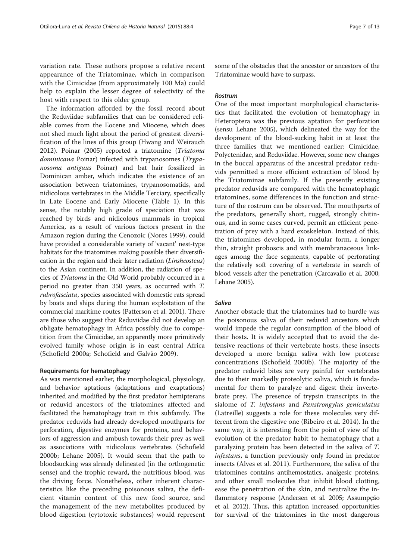variation rate. These authors propose a relative recent appearance of the Triatominae, which in comparison with the Cimicidae (from approximately 100 Ma) could help to explain the lesser degree of selectivity of the host with respect to this older group.

The information afforded by the fossil record about the Reduviidae subfamilies that can be considered reliable comes from the Eocene and Miocene, which does not shed much light about the period of greatest diversification of the lines of this group (Hwang and Weirauch [2012](#page-11-0)). Poinar [\(2005\)](#page-11-0) reported a triatomine (Triatoma dominicana Poinar) infected with trypanosomes (Trypanosoma antiguus Poinar) and bat hair fossilized in Dominican amber, which indicates the existence of an association between triatomines, trypanosomatids, and nidicolous vertebrates in the Middle Terciary, specifically in Late Eocene and Early Miocene (Table [1\)](#page-1-0). In this sense, the notably high grade of speciation that was reached by birds and nidicolous mammals in tropical America, as a result of various factors present in the Amazon region during the Cenozoic (Nores [1999\)](#page-11-0), could have provided a considerable variety of 'vacant' nest-type habitats for the triatomines making possible their diversification in the region and their later radiation (Linshcosteus) to the Asian continent. In addition, the radiation of species of Triatoma in the Old World probably occurred in a period no greater than 350 years, as occurred with T. rubrofasciata, species associated with domestic rats spread by boats and ships during the human exploitation of the commercial maritime routes (Patterson et al. [2001\)](#page-11-0). There are those who suggest that Reduviidae did not develop an obligate hematophagy in Africa possibly due to competition from the Cimicidae, an apparently more primitively evolved family whose origin is in east central Africa (Schofield [2000a;](#page-11-0) Schofield and Galvão [2009](#page-11-0)).

#### Requirements for hematophagy

As was mentioned earlier, the morphological, physiology, and behavior aptations (adaptations and exaptations) inherited and modified by the first predator hemipterans or reduvid ancestors of the triatomines affected and facilitated the hematophagy trait in this subfamily. The predator reduvids had already developed mouthparts for perforation, digestive enzymes for proteins, and behaviors of aggression and ambush towards their prey as well as associations with nidicolous vertebrates (Schofield [2000b](#page-11-0); Lehane [2005\)](#page-11-0). It would seem that the path to bloodsucking was already delineated (in the orthogenetic sense) and the trophic reward, the nutritious blood, was the driving force. Nonetheless, other inherent characteristics like the preceding poisonous saliva, the deficient vitamin content of this new food source, and the management of the new metabolites produced by blood digestion (cytotoxic substances) would represent

some of the obstacles that the ancestor or ancestors of the Triatominae would have to surpass.

#### Rostrum

One of the most important morphological characteristics that facilitated the evolution of hematophagy in Heteroptera was the previous aptation for perforation (sensu Lehane [2005\)](#page-11-0), which delineated the way for the development of the blood-sucking habit in at least the three families that we mentioned earlier: Cimicidae, Polyctenidae, and Reduviidae. However, some new changes in the buccal apparatus of the ancestral predator reduvids permitted a more efficient extraction of blood by the Triatominae subfamily. If the presently existing predator reduvids are compared with the hematophagic triatomines, some differences in the function and structure of the rostrum can be observed. The mouthparts of the predators, generally short, rugged, strongly chitinous, and in some cases curved, permit an efficient penetration of prey with a hard exoskeleton. Instead of this, the triatomines developed, in modular form, a longer thin, straight proboscis and with membranaceous linkages among the face segments, capable of perforating the relatively soft covering of a vertebrate in search of blood vessels after the penetration (Carcavallo et al. [2000](#page-10-0); Lehane [2005\)](#page-11-0).

#### Saliva

Another obstacle that the triatomines had to hurdle was the poisonous saliva of their reduvid ancestors which would impede the regular consumption of the blood of their hosts. It is widely accepted that to avoid the defensive reactions of their vertebrate hosts, these insects developed a more benign saliva with low protease concentrations (Schofield [2000b](#page-11-0)). The majority of the predator reduvid bites are very painful for vertebrates due to their markedly proteolytic saliva, which is fundamental for them to paralyze and digest their invertebrate prey. The presence of trypsin transcripts in the sialome of T. infestans and Panstrongylus geniculatus (Latreille) suggests a role for these molecules very different from the digestive one (Ribeiro et al. [2014\)](#page-11-0). In the same way, it is interesting from the point of view of the evolution of the predator habit to hematophagy that a paralyzing protein has been detected in the saliva of T. infestans, a function previously only found in predator insects (Alves et al. [2011](#page-10-0)). Furthermore, the saliva of the triatomines contains antihemostatics, analgesic proteins, and other small molecules that inhibit blood clotting, ease the penetration of the skin, and neutralize the inflammatory response (Andersen et al. [2005](#page-10-0); Assumpção et al. [2012](#page-10-0)). Thus, this aptation increased opportunities for survival of the triatomines in the most dangerous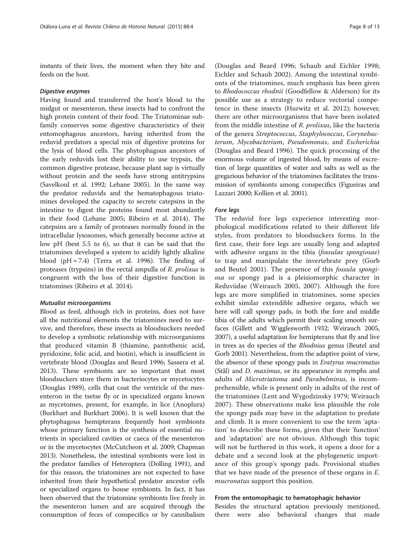instants of their lives, the moment when they bite and feeds on the host.

#### Digestive enzymes

Having found and transferred the host's blood to the midgut or mesenteron, these insects had to confront the high protein content of their food. The Triatominae subfamily conserves some digestive characteristics of their entomophagous ancestors, having inherited from the reduvid predators a special mix of digestive proteins for the lysis of blood cells. The phytophagous ancestors of the early reduvids lost their ability to use trypsin, the common digestive protease, because plant sap is virtually without protein and the seeds have strong antitrypsins (Savelkoul et al. [1992;](#page-11-0) Lehane [2005\)](#page-11-0). In the same way the predator reduvids and the hematophagous triatomines developed the capacity to secrete catepsins in the intestine to digest the proteins found most abundantly in their food (Lehane [2005](#page-11-0); Ribeiro et al. [2014\)](#page-11-0). The catepsins are a family of proteases normally found in the intracellular lysosomes, which generally become active at low pH (best 5.5 to 6), so that it can be said that the triatomines developed a system to acidify lightly alkaline blood (pH  $\approx$  7.4) (Terra et al. [1996\)](#page-11-0). The finding of proteases (trypsins) in the rectal ampulla of R. prolixus is congruent with the loss of their digestive function in triatomines (Ribeiro et al. [2014\)](#page-11-0).

#### Mutualist microorganisms

Blood as feed, although rich in proteins, does not have all the nutritional elements the triatomines need to survive, and therefore, these insects as bloodsuckers needed to develop a symbiotic relationship with microorganisms that produced vitamin B (thiamine, pantothenic acid, pyridoxine, folic acid, and biotin), which is insufficient in vertebrate blood (Douglas and Beard [1996](#page-10-0); Sassera et al. [2013](#page-11-0)). These symbionts are so important that most bloodsuckers store them in bacteriocytes or mycetocytes (Douglas [1989](#page-10-0)), cells that coat the ventricle of the mesenteron in the tsetse fly or in specialized organs known as mycetomes, present, for example, in lice (Anoplura) (Burkhart and Burkhart [2006\)](#page-10-0). It is well known that the phytophagous hemipterans frequently host symbionts whose primary function is the synthesis of essential nutrients in specialized cavities or caeca of the mesenteron or in the mycetocytes (McCutcheon et al. [2009](#page-11-0); Chapman [2013\)](#page-10-0). Nonetheless, the intestinal symbionts were lost in the predator families of Heteroptera (Dolling [1991](#page-10-0)), and for this reason, the triatomines are not expected to have inherited from their hypothetical predator ancestor cells or specialized organs to house symbionts. In fact, it has been observed that the triatomine symbionts live freely in the mesenteron lumen and are acquired through the consumption of feces of conspecifics or by cannibalism

(Douglas and Beard [1996;](#page-10-0) Schaub and Eichler [1998](#page-11-0); Eichler and Schaub [2002](#page-10-0)). Among the intestinal symbionts of the triatomines, much emphasis has been given to Rhodococcus rhodnii (Goodfellow & Alderson) for its possible use as a strategy to reduce vectorial competence in these insects (Hurwitz et al. [2012](#page-11-0)); however, there are other microorganisms that have been isolated from the middle intestine of R. prolixus, like the bacteria of the genera Streptococcus, Staphylococcus, Corynebacterum, Mycobacterium, Pseudomonas, and Escherichia (Douglas and Beard [1996](#page-10-0)). The quick processing of the enormous volume of ingested blood, by means of excretion of large quantities of water and salts as well as the gregarious behavior of the triatomines facilitates the transmission of symbionts among conspecifics (Figueiras and Lazzari [2000;](#page-10-0) Kollien et al. [2001](#page-11-0)).

#### Fore legs

The reduvid fore legs experience interesting morphological modifications related to their different life styles, from predators to bloodsuckers forms. In the first case, their fore legs are usually long and adapted with adhesive organs in the tibia (fossulae spongiosae) to trap and manipulate the invertebrate prey (Gorb and Beutel [2001](#page-10-0)). The presence of this fossula spongiosa or spongy pad is a pleisiomorphic character in Reduviidae (Weirauch [2005](#page-11-0), [2007](#page-12-0)). Although the fore legs are more simplified in triatomines, some species exhibit similar extendible adhesive organs, which we here will call spongy pads, in both the fore and middle tibia of the adults which permit their scaling smooth surfaces (Gillett and Wigglesworth [1932;](#page-10-0) Weirauch [2005](#page-11-0), [2007](#page-12-0)), a useful adaptation for hemipterans that fly and live in trees as do species of the Rhodnius genus (Beutel and Gorb [2001](#page-10-0)). Nevertheless, from the adaptive point of view, the absence of these spongy pads in Eratyrus mucronatus (Stål) and *D. maximus*, or its appearance in nymphs and adults of Microtriatoma and Parabelminus, is incomprehensible, while is present only in adults of the rest of the triatomines (Lent and Wygodzinsky [1979;](#page-11-0) Weirauch [2007\)](#page-12-0). These observations make less plausible the role the spongy pads may have in the adaptation to predate and climb. It is more convenient to use the term 'aptation' to describe these forms, given that their 'function' and 'adaptation' are not obvious. Although this topic will not be furthered in this work, it opens a door for a debate and a second look at the phylogenetic importance of this group's spongy pads. Provisional studies that we have made of the presence of these organs in E. mucronatus support this position.

#### From the entomophagic to hematophagic behavior

Besides the structural aptation previously mentioned, there were also behavioral changes that made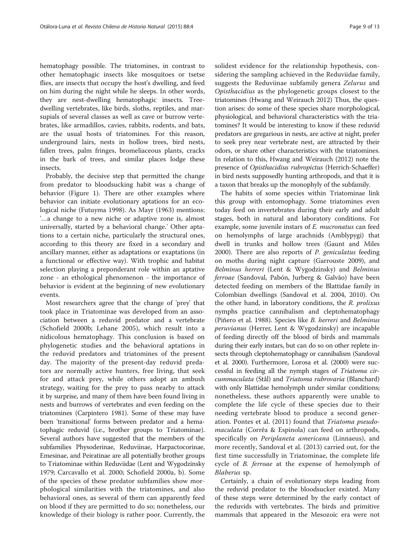hematophagy possible. The triatomines, in contrast to other hematophagic insects like mosquitoes or tsetse flies, are insects that occupy the host's dwelling, and feed on him during the night while he sleeps. In other words, they are nest-dwelling hematophagic insects. Treedwelling vertebrates, like birds, sloths, reptiles, and marsupials of several classes as well as cave or burrow vertebrates, like armadillos, cavies, rabbits, rodents, and bats, are the usual hosts of triatomines. For this reason, underground lairs, nests in hollow trees, bird nests, fallen trees, palm fringes, bromeliaceous plants, cracks in the bark of trees, and similar places lodge these insects.

Probably, the decisive step that permitted the change from predator to bloodsucking habit was a change of behavior (Figure [1\)](#page-1-0). There are other examples where behavior can initiate evolutionary aptations for an ecological niche (Futuyma [1998\)](#page-10-0). As Mayr [\(1963\)](#page-11-0) mentions: '…a change to a new niche or adaptive zone is, almost universally, started by a behavioral change.' Other aptations to a certain niche, particularly the structural ones, according to this theory are fixed in a secondary and ancillary manner, either as adaptations or exaptations (in a functional or effective way). With trophic and habitat selection playing a preponderant role within an aptative zone - an ethological phenomenon - the importance of behavior is evident at the beginning of new evolutionary events.

Most researchers agree that the change of 'prey' that took place in Triatominae was developed from an association between a reduvid predator and a vertebrate (Schofield [2000b](#page-11-0); Lehane [2005\)](#page-11-0), which result into a nidicolous hematophagy. This conclusion is based on phylogenetic studies and the behavioral aptations in the reduvid predators and triatomines of the present day. The majority of the present-day reduvid predators are normally active hunters, free living, that seek for and attack prey, while others adopt an ambush strategy, waiting for the prey to pass nearby to attack it by surprise, and many of them have been found living in nests and burrows of vertebrates and even feeding on the triatomines (Carpintero [1981\)](#page-10-0). Some of these may have been 'transitional' forms between predator and a hematophagic reduvid (i.e., brother groups to Triatominae). Several authors have suggested that the members of the subfamilies Physoderinae, Reduviinae, Harpactocorinae, Emesinae, and Peiratinae are all potentially brother groups to Triatominae within Reduviidae (Lent and Wygodzinsky [1979;](#page-11-0) Carcavallo et al. [2000;](#page-10-0) Schofield [2000a, b](#page-11-0)). Some of the species of these predator subfamilies show morphological similarities with the triatomines, and also behavioral ones, as several of them can apparently feed on blood if they are permitted to do so; nonetheless, our knowledge of their biology is rather poor. Currently, the solidest evidence for the relationship hypothesis, con-

sidering the sampling achieved in the Reduviidae family, suggests the Reduviinae subfamily genera Zelurus and Opisthacidius as the phylogenetic groups closest to the triatomines (Hwang and Weirauch [2012](#page-11-0)) Thus, the question arises: do some of these species share morphological, physiological, and behavioral characteristics with the triatomines? It would be interesting to know if these reduvid predators are gregarious in nests, are active at night, prefer to seek prey near vertebrate nest, are attracted by their odors, or share other characteristics with the triatomines. In relation to this, Hwang and Weirauch ([2012](#page-11-0)) note the presence of Opisthacidius rubropictus (Herrich-Schaeffer) in bird nests supposedly hunting arthropods, and that it is a taxon that breaks up the monophyly of the subfamily.

The habits of some species within Triatominae link this group with entomophagy. Some triatomines even today feed on invertebrates during their early and adult stages, both in natural and laboratory conditions. For example, some juvenile instars of E. mucronatus can feed on hemolymphs of large arachnids (Amblypygi) that dwell in trunks and hollow trees (Gaunt and Miles [2000](#page-10-0)). There are also reports of *P. geniculatus* feeding on moths during night capture (Garrouste [2009](#page-10-0)), and Belminus herreri (Lent & Wygodzinsky) and Belminus ferroae (Sandoval, Pabón, Jurberg & Galvão) have been detected feeding on members of the Blattidae family in Colombian dwellings (Sandoval et al. [2004, 2010](#page-11-0)). On the other hand, in laboratory conditions, the R. prolixus nymphs practice cannibalism and cleptohematophagy (Piñero et al. [1988\)](#page-11-0). Species like B. herreri and Belminus peruvianus (Herrer, Lent & Wygodzinsky) are incapable of feeding directly off the blood of birds and mammals during their early instars, but can do so on other replete insects through cleptohematophagy or cannibalism (Sandoval et al. [2000](#page-11-0)). Furthermore, Lorosa et al. [\(2000\)](#page-11-0) were successful in feeding all the nymph stages of Triatoma circummaculata (Stål) and Triatoma rubrovaria (Blanchard) with only Blattidae hemolymph under similar conditions; nonetheless, these authors apparently were unable to complete the life cycle of these species due to their needing vertebrate blood to produce a second generation. Pontes et al. ([2011\)](#page-11-0) found that Triatoma pseudomaculata (Corrêa & Espinola) can feed on arthropods, specifically on Periplaneta americana (Linnaeus), and more recently, Sandoval et al. ([2013\)](#page-11-0) carried out, for the first time successfully in Triatominae, the complete life cycle of *B. ferroae* at the expense of hemolymph of Blaberus sp.

Certainly, a chain of evolutionary steps leading from the reduvid predator to the bloodsucker existed. Many of these steps were determined by the early contact of the reduvids with vertebrates. The birds and primitive mammals that appeared in the Mesozoic era were not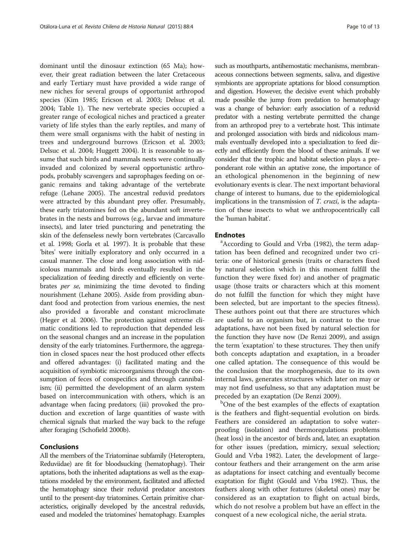dominant until the dinosaur extinction (65 Ma); however, their great radiation between the later Cretaceous and early Tertiary must have provided a wide range of new niches for several groups of opportunist arthropod species (Kim [1985](#page-11-0); Ericson et al. [2003;](#page-10-0) Delsuc et al. [2004](#page-10-0); Table [1\)](#page-1-0). The new vertebrate species occupied a greater range of ecological niches and practiced a greater variety of life styles than the early reptiles, and many of them were small organisms with the habit of nesting in trees and underground burrows (Ericson et al. [2003](#page-10-0); Delsuc et al. [2004;](#page-10-0) Huggett [2004\)](#page-11-0). It is reasonable to assume that such birds and mammals nests were continually invaded and colonized by several opportunistic arthropods, probably scavengers and saprophages feeding on organic remains and taking advantage of the vertebrate refuge (Lehane [2005\)](#page-11-0). The ancestral reduvid predators were attracted by this abundant prey offer. Presumably, these early triatomines fed on the abundant soft invertebrates in the nests and burrows (e.g., larvae and immature insects), and later tried puncturing and penetrating the skin of the defenseless newly born vertebrates (Carcavallo et al. [1998](#page-10-0); Gorla et al. [1997](#page-10-0)). It is probable that these 'bites' were initially exploratory and only occurred in a casual manner. The close and long association with nidicolous mammals and birds eventually resulted in the specialization of feeding directly and efficiently on vertebrates per se, minimizing the time devoted to finding nourishment (Lehane [2005\)](#page-11-0). Aside from providing abundant food and protection from various enemies, the nest also provided a favorable and constant microclimate (Heger et al. [2006\)](#page-11-0). The protection against extreme climatic conditions led to reproduction that depended less on the seasonal changes and an increase in the population density of the early triatomines. Furthermore, the aggregation in closed spaces near the host produced other effects and offered advantages: (i) facilitated mating and the acquisition of symbiotic microorganisms through the consumption of feces of conspecifics and through cannibalism; (ii) permitted the development of an alarm system based on intercommunication with others, which is an advantage when facing predators; (iii) provoked the production and excretion of large quantities of waste with chemical signals that marked the way back to the refuge after foraging (Schofield [2000b](#page-11-0)).

#### Conclusions

All the members of the Triatominae subfamily (Heteroptera, Reduviidae) are fit for bloodsucking (hematophagy). Their aptations, both the inherited adaptations as well as the exaptations modeled by the environment, facilitated and affected the hematophagy since their reduvid predator ancestors until to the present-day triatomines. Certain primitive characteristics, originally developed by the ancestral reduvids, eased and modeled the triatomines' hematophagy. Examples such as mouthparts, antihemostatic mechanisms, membranaceous connections between segments, saliva, and digestive symbionts are appropriate aptations for blood consumption and digestion. However, the decisive event which probably made possible the jump from predation to hematophagy was a change of behavior: early association of a reduvid predator with a nesting vertebrate permitted the change from an arthropod prey to a vertebrate host. This intimate and prolonged association with birds and nidicolous mammals eventually developed into a specialization to feed directly and efficiently from the blood of these animals. If we consider that the trophic and habitat selection plays a preponderant role within an aptative zone, the importance of an ethological phenomenon in the beginning of new evolutionary events is clear. The next important behavioral change of interest to humans, due to the epidemiological implications in the transmission of  $T$ . cruzi, is the adaptation of these insects to what we anthropocentrically call the 'human habitat'.

#### **Endnotes**

<sup>a</sup> According to Gould and Vrba ([1982\)](#page-10-0), the term adaptation has been defined and recognized under two criteria: one of historical genesis (traits or characters fixed by natural selection which in this moment fulfill the function they were fixed for) and another of pragmatic usage (those traits or characters which at this moment do not fulfill the function for which they might have been selected, but are important to the species fitness). These authors point out that there are structures which are useful to an organism but, in contrast to the true adaptations, have not been fixed by natural selection for the function they have now (De Renzi [2009](#page-10-0)), and assign the term 'exaptation' to these structures. They then unify both concepts adaptation and exaptation, in a broader one called aptation. The consequence of this would be the conclusion that the morphogenesis, due to its own internal laws, generates structures which later on may or may not find usefulness, so that any adaptation must be preceded by an exaptation (De Renzi [2009](#page-10-0)).

b One of the best examples of the effects of exaptation is the feathers and flight-sequential evolution on birds. Feathers are considered an adaptation to solve waterproofing (isolation) and thermoregulations problems (heat loss) in the ancestor of birds and, later, an exaptation for other issues (predation, mimicry, sexual selection; Gould and Vrba [1982\)](#page-10-0). Later, the development of largecontour feathers and their arrangement on the arm arise as adaptations for insect catching and eventually become exaptation for flight (Gould and Vrba [1982\)](#page-10-0). Thus, the feathers along with other features (skeletal ones) may be considered as an exaptation to flight on actual birds, which do not resolve a problem but have an effect in the conquest of a new ecological niche, the aerial strata.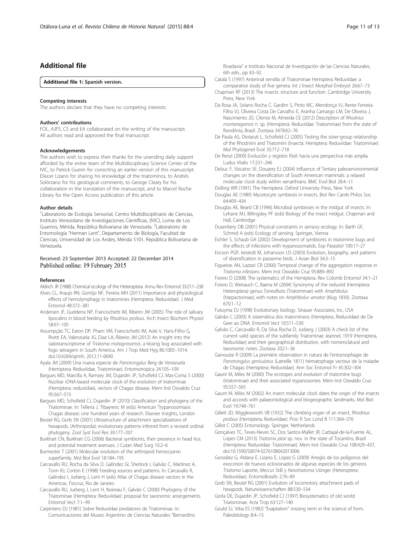#### <span id="page-10-0"></span>Additional file

#### [Additional file 1](http://www.revchilhistnat.com/content/supplementary/s40693-014-0032-0-s1.doc): Spanish version.

#### Competing interests

The authors declare that they have no competing interests.

#### Authors' contributions

FOL, AJPS, CS and EA collaborated on the writing of the manuscript. All authors read and approved the final manuscript.

#### Acknowledgements

The authors wish to express their thanks for the unending daily support afforded by the entire team of the Multidisciplinary Science Center of the IVIC, to Patrick Guerin for correcting an earlier version of this manuscript. Eliecer Lizano for sharing his knowledge of the triatominos, to Andrés Solórzano for his geological comments, to George Cleary for his collaboration in the translation of the manuscript, and to Marcel Roche Library for the Open Access publication of this article.

#### Author details

<sup>1</sup> Laboratorio de Ecología Sensorial, Centro Multidisciplinario de Ciencias, Instituto Venezolano de Investigaciones Científicas, (IVIC), Loma de Los Guamos, Mérida, República Bolivariana de Venezuela. <sup>2</sup>Laboratorio de Entomología "Herman Lent", Departamento de Biología, Facultad de Ciencias, Universidad de Los Andes, Mérida 5101, República Bolivariana de Venezuela.

#### Received: 23 September 2013 Accepted: 22 December 2014 Published online: 19 February 2015

#### References

Aldrich JR (1988) Chemical ecology of the Heteroptera. Annu Rev Entomol 33:211–238 Alves CL, Araujo RN, Gontijo NF, Pereira MH (2011) Importance and physiological

effects of hemolymphagy in triatomines (Hemiptera: Reduviidae). J Med Entomol 48:372–381 Andersen JF, Gudderra NP, Francischetti IM, Ribeiro JM (2005) The role of salivary

lipocalins in blood feeding by Rhodnius prolixus. Arch Insect Biochem Physiol 58:97–105

Assumpção TC, Eaton DP, Pham VM, Francischetti IM, Aoki V, Hans-Filho G, Rivitti EA, Valenzuela JG, Diaz LA, Ribeiro JM (2012) An insight into the sialotranscriptome of Triatoma matogrossensis, a kissing bug associated with fogo selvagem in South America. Am J Trop Med Hyg 86:1005–1014, doi:10.4269/ajtmh. 2012.11-0690

- Ayala JM (2009) Una nueva especie de Panstrongylus Berg de Venezuela (Hemiptera: Reduviidae, Triatominae). Entomotropica 24:105–109
- Bargues MD, Marcilla A, Ramsey JM, Dujardin JP, Schofield CJ, Mas-Coma S (2000) Nuclear rDNA-based molecular clock of the evolution of triatominae (Hemiptera: reduviidae), vectors of Chagas disease. Mem Inst Oswaldo Cruz 95:567–573
- Bargues MD, Schofield CJ, Dujardin JP (2010) Classification and phylogeny of the Triatominae. In: Telleria J, Tibayrenc M (eds) American Trypanosomiasis Chagas disease: one hundred years of research. Elsevier insights, London

Beutel RG, Gorb SN (2001) Ultrastructure of attachment specializations of hexapods, (Arthropoda): evolutionary patterns inferred from a revised ordinal phylogeny. Zool Syst Evol Res 39:177–207

Burkhart CN, Burkhart CG (2006) Bacterial symbionts, their presence in head lice, and potential treatment avenues. J Cutan Med Surg 10:2–6

Burmester T (2001) Molecular evolution of the arthropod hemocyanin superfamily. Mol Biol Evol 18:184–195

Carcavallo RU, Rocha da Silva D, Galíndez GI, Sherlock I, Galvão C, Martínez A, Tonn RJ, Cortón E (1998) Feeding sources and patterns. In: Carcavallo R, Galindez I, Jurberg J, Lent H (eds) Atlas of Chagas disease vectors in the Americas. Fiocruz, Rio de Janeiro

Carcavallo RU, Jurberg J, Lent H, Noireau F, Galvão C (2000) Phylogeny of the Triatominae (Hemiptera: Reduviidae): proposal for taxonomic arrangements. Entomol Vect 7:1–99

Carpintero DJ (1981) Sobre Reduviidae predatores de Triatominae. In: Comunicaciones del Museo Argentino de Ciencias Naturales "Bernardino

Rivadavia" e Instituto Nacional de Investigación de las Ciencias Naturales, 6th edn., pp 83–92

- Catalá S (1997) Antennal sensilla of Triatominae Hemiptera Reduviidae: a comparative study of five genera. Int J Insect Morphol Embryol 26:67–73
- Chapman RF (2013) The insects: structure and function. Cambridge University Press, New York
- Da Rosa JA, Solano Rocha C, Gardim S, Pinto MC, Mendonça VJ, Rente Ferreira Filho VJ, Oliveira Costa De Carvalho E, Aranha Camargo LM, De Oliveira J, Nascimento JD, Cilense M, Almeida CE (2012) Description of Rhodnius montenegrensis n. sp. (Hemiptera: Reduviidae: Triatominae) from the state of Rondônia, Brazil. Zootaxa 3478:62–76
- De Paula AS, Diotaiuti L, Schofield CJ (2005) Testing the sister-group relationship of the Rhodniini and Triatomini (Insecta: Hemiptera: Reduviidae: Triatominae). Mol Phylogenet Evol 35:712–718
- De Renzi (2009) Evolución y registro fósil: hacia una perspectiva más amplia. Ludus Vitalis 17:231–246
- Delsuc F, Vizcaíno SF, Douzery EJ (2004) Influence of Tertiary paleoenvironmental changes on the diversification of South American mammals: a relaxed molecular clock study within xenarthrans. BMC Evol Biol 28:4–11

Dolling WR (1991) The Hemiptera. Oxford University Press, New York

- Douglas AE (1989) Mycetocyte symbiosis in insects. Biol Rev Camb Philos Soc 64:409–434
- Douglas AE, Beard CB (1996) Microbial symbioses in the midgut of insects. In: Lehane MJ, Billingsley PF (eds) Biology of the insect midgut. Chapman and Hall, Cambridge
- Dusenbery DB (2001) Physical constraints in sensory ecology. In: Barth GF, Schmid A (eds) Ecology of sensing. Springer, Vienna
- Eichler S, Schaub GA (2002) Development of symbionts in triatomine bugs and the effects of infections with trypanosomatids. Exp Parasitol 100:17–27
- Ericson PGP, Irestedt M, Johansson US (2003) Evolution, biography, and patterns of diversification in passerine birds. J Avian Biol 34:3–15
- Figueiras AN, Lazzari CR (2000) Temporal change of the aggregation response in Triatoma infestans. Mem Inst Oswaldo Cruz 95:889–892
- Forero D (2008) The systematics of the Hemiptera. Rev Colomb Entomol 34:1–21 Forero D, Weirauch C, Baena M (2004) Synonymy of the reduviid (Hemiptera:

Heteroptera) genus Torrealbaia (Triatominae) with Amphibolus (Harpactorinae), with notes on Amphibolus venator (Klug 1830). Zootaxa 670:1–12

Futuyma DJ (1998) Evolutionary biology. Sinauer Associates, Inc, USA

- Galvão C (2003) A sistemática dos triatomíneos (Hemiptera, Reduviidae) de De Geer ao DNA. Entomol Vect 10:511–530
- Galvão C, Carcavallo R, Da Silva Rocha D, Jurberg J (2003) A check list of the current valid species of the subfamily Triatominae Jeannel, 1919 (Hemiptera, Reduviidae) and their geographical distribution, with nomenclatural and taxonomic notes. Zootaxa 202:1–36

Garrouste R (2009) La première observation in natura de l'entomophagie de Panstrongylus geniculatus (Latreille 1811) hématophage vecteur de la maladie de Chagas (Hemiptera: Reduviidae). Ann Soc Entomol Fr 45:302–304

Gaunt M, Miles M (2000) The ecotopes and evolution of triatomine bugs (triatominae) and their associated trypanosomes. Mem Inst Oswaldo Cruz 95:557–565

Gaunt M, Miles M (2002) An insect molecular clock dates the origin of the insects and accords with palaeontological and biogeographic landmarks. Mol Biol Evol 19:748–761

Gillett JD, Wigglesworth VB (1932) The climbing organ of an insect, Rhodnius prolixus (Hemiptera; Reduviidae). Proc R Soc Lond B 111:364–376

Gillot C (2005) Entomology. Springer, Netherlands

Gonçalves TC, Teves-Neves SC, Dos Santos-Mallet JR, Carbajal-de-la-Fuente AL, Lopes CM (2013) Triatoma jatai sp. nov. in the state of Tocantins, Brazil (Hemiptera: Reduviidae: Triatominae). Mem Inst Oswaldo Cruz 108:429–437, doi:10.1590/S0074-0276108042013006

González G, Aldana E, Lizano E, López G (2009) Arreglo de los polígonos del exocorion de huevos eclosionados de algunas especies de los géneros Triatoma Laporte, Meccus Stål y Nesotriatoma Usinger (Heteroptera: Reduviidae). EntomoBrasilis 2:76–89

Gorb SN, Beutel RG (2001) Evolution of locomotory attachment pads of hexapods. Naturwissenschaften 88:530–534

Gorla DE, Dujardin JP, Schofield CJ (1997) Biosystematics of old world Triatominae. Acta Trop 63:127–140

Gould SJ, Vrba ES (1982) "Exaptation" missing term in the science of form. Paleobiology 8:4-15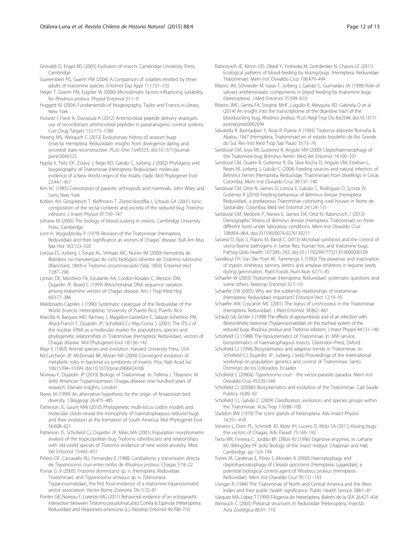- <span id="page-11-0"></span>Guerenstein PG, Guerin PM (2004) A comparison of volatiles emitted by three adults of triatomine species. Entomol Exp Appl 111:151–155
- Heger T, Guerin PM, Eugster W (2006) Microclimatic factors influencing suitability for Rhodnius prolixus. Physiol Entomol 31:1–9
- Huggett RJ (2004) Fundamentals of biogeography. Taylor and Francis e-Library, New York
- Hurwitz I, Fieck A, Durvasula R (2012) Antimicrobial peptide delivery strategies: use of recombinant antimicrobial peptides in paratransgenic control systems. Curr Drug Targets 13:1173–1180
- Hwang WS, Weirauch C (2012) Evolutionary history of assassin bugs (Insecta: Hemiptera: Reduviidae): insights from divergence dating and ancestral state reconstruction. PLoS One 7:e45523, doi:10.1371/journal. pone.0045523
- Hypša V, Tietz DF, Zrzavý J, Rego RO, Galvão C, Jurberg J (2002) Phylogeny and biogeography of Triatominae (Hemiptera: Reduviidae): molecular evidence of a New World origin of the Asiatic clade. Mol Phylogenet Evol 23:447–457
- Kim KC (1985) Coevolution of parasitic arthropods and mammals. John Wiley and Sons, New York
- Kollien AH, Grospietsch T, Kleffmann T, Zerbst-Boroffka I, Schaub GA (2001) Ionic composition of the rectal contents and excreta of the reduviid bug Triatoma infestans. J Insect Physiol 47:739–747
- Lehane M (2005) The biology of blood-sucking in insects. Cambridge University Press, Cambridge
- Lent H, Wygodzinsky P (1979) Revision of the Triatominae (Hemiptera, Reduviidae) and their significance as vectors of Chagas' disease. Bull Am Mus Nat Hist 163:123–520
- Lorosa ES, Jurberg J, Souza AL, Vinhaes MC, Nunes IM (2000) Hemolinfa de Blatídeos na manutençao do ciclo biológico silvestre de Triatoma rubrovaria (Blanchard, 1843) e Triatoma circummaculata (Stål, 1859). Entomol Vect 7:287–296
- Lyman DE, Monteiro FA, Escalante AA, Cordon-Rosales C, Wesson DM, Dujardin JP, Beard C (1999) Mitochondrial DNA sequence variation among triatomine vectors of Chagas disease. Am J Trop Med Hyg 60:377–386
- Maldonado-Capriles J (1990) Systematic catalogue of the Reduviidae of the World (Insecta: Heteroptera). University of Puerto Rico, Puerto Rico
- Marcilla A, Bargues MD, Ramsey J, Magallon-Gastelum E, Salazar-Schettino PM, Abad-Franch F, Dujardin JP, Schofield CJ, Mas-Coma S (2001) The ITS-2 of the nuclear rDNA as a molecular marker for populations, species and phylogenetic relationships in Triatominae (Hemiptera: Reduviidae), vectors of Chagas disease. Mol Phylogenet Evol 18:136–142

Mayr E (1963) Animal species and evolution. Harvard University Press, USA

- McCutcheon JP, McDonald BR, Moran NA (2009) Convergent evolution of metabolic roles in bacterial co-symbionts of insects. Proc Natl Acad Sci 106:15394–15399, doi:10.1073/pnas.0906424106
- Noireau F, Dujardin JP (2010) Biology of Triatominae. In: Telleria J, Tibayrenc M (eds) American Trypanosomiasis Chagas disease: one hundred years of research. Elsevier insights, London
- Nores M (1999) An alternative hypothesis for the origin of Amazonian bird diversity. J Biogeogr 26:475–485
- Patterson JS, Gaunt MW (2010) Phylogenetic multi-locus codon models and molecular clocks reveal the monophyly of haematophagous reduviid bugs and their evolution at the formation of South America. Mol Phylogenet Evol 56:608–621
- Patterson JS, Schofield CJ, Dujardin JP, Miles MA (2001) Population morphometric analysis of the tropicopolitan bug Triatoma rubrofasciata and relationships with old world species of Triatoma: evidence of new world ancestry. Med Vet Entomol 15:443–451
- Piñero DF, Carcavallo RU, Fernandez E (1988) Canibalismo y transmisión directa de Trypanosoma cruzi entre ninfas de Rhodnius prolixus. Chagas 5:18–22
- Poinar G Jr (2005) Triatoma dominicana sp. n. (Hemiptera: Reduviidae: Triatominae), and Trypanosoma antiquus sp. n. (Stercoraria: Trypanosomatidae), the first fossil evidence of a triatomine-tripanosomatid vector association. Vector Borne Zoonotic Dis 5:72–81
- Pontes GB, Noireau F, Lorenzo MG (2011) Behavioral evidence of an ectoparasitic interaction between Triatoma pseudomaculata Corrêa & Espínola (Heteroptera: Reduviidae) and Periplaneta americana (L.). Neotrop Entomol 40:708–710
- Rabinovich JE, Kitron UD, Obed Y, Yoshioka M, Gottdenker N, Chaves LF (2011) Ecological patterns of blood-feeding by kissing-bugs. (Hemiptera: Reduviidae: Triatominae). Mem Inst Oswaldo Cruz 106:479–494
- Ribeiro JM, Schneider M, Isaias T, Jurberg J, Galvão C, Guimarães JA (1998) Role of salivary antihemostatic components in blood feeding by triatomine bugs (Heteroptera). J Med Entomol 35:599–610
- Ribeiro JMC, Genta FA, Sorgine MHF, Logullo R, Mesquita RD, Gabriela O et al (2014) An insight into the transcriptome of the digestive tract of the bloodsucking bug, Rhodnius prolixus. PLoS Negl Trop Dis 8:e2594, doi:10.1371/ journal.pntd.0002594
- Salvatella R, Basmadjian Y, Rosa R, Puime A (1993) Triatoma delpontei Romaña & Abalos, 1947 (Hemiptera, Triatominae) en el estado brasileño de Rio Grande do Sul. Rev Inst Med Trop Sao Paulo 35:73–76
- Sandoval CM, Joya MI, Gutierrez R, Angulo VM (2000) Cleptohaematophagy of the Triatomine bug Belminus herreri. Med Vet Entomol 14:100–101
- Sandoval CM, Duarte R, Gutíerrez R, Da Silva Rocha D, Angulo VM, Esteban L, Reyes M, Jurberg J, Galvão C (2004) Feeding sources and natural infection of Belminus herreri (Hemiptera, Reduviidae, Triatominae) from dwellings in Cesar, Colombia. Mem Inst Oswaldo Cruz 99:137–140
- Sandoval CM, Ortiz N, Jaimes D, Lorosa E, Galvão C, Rodriguez O, Scorza JV, Gutiérrez R (2010) Feeding behaviour of Belminus ferroae (Hemiptera: Reduviidae), a predaceous Triatominae colonizing rural houses in Norte de Santander, Colombia. Med Vet Entomol 24:124–131
- Sandoval CM, Medone P, Nieves E, Jaimes DA, Ortiz N, Rabinovich J (2013) Demographic fitness of Belminus ferroae (Hemiptera: Triatominae) on three different hosts under laboratory conditions. Mem Inst Oswaldo Cruz 108:854–864, doi:10.1590/0074-0276130211
- Sassera D, Epis S, Pajoro M, Bandi C (2013) Microbial symbiosis and the control of vector-borne pathogens in tsetse flies, human lice, and triatomine bugs. Pathog Glob Health 107:285–292, doi:10.1179/2047773213Y.0000000109
- Savelkoul FH, Van Der Poel AF, Tamminga S (1992) The presence and inactivation of trypsin inhibitors, tannins, lectins and amylase inhibitors in legume seeds during germination. Plant Foods Hum Nutr 42:71–85
- Schaefer W (2003) Triatominae (Hemiptera: Reduviidae): systematic questions and some others. Neotrop Entomol 32:1–10
- Schaefer CW (2005) Why are the subfamily relationships of triatominae (Hemiptera: Reduviidae) important? Entomol Vect 12:19–35
- Schaefer AW, Coscarón MC (2001) The status of Linshcosteus in the Triatominae (Hemiptera: Reduviidae). J Med Entomol 38:862–867
- Schaub GA, Eichler S (1998) The effects of aposymbiosis and of an infection with Blastocrithidia triatomae (Trypanosomatidae) on the tracheal system of the reduviid bugs Rhodnius prolixus and Triatoma infestans. J Insect Physiol 44:131–140
- Schofield CJ (1988) The biosystematics of Triatominae. In: MW service, biosystematics of haematophagous insects. Clarendon Press, Oxford
- Schofield CJ (1996) Biosystematics and adaptive trends in Triatominae. In: Schofield CJ, Dujardin JP, Jurberg J (eds) Proceedings of the international workshop on population genetics and control of Triatominae. Santo Domingo de los Colorados, Ecuador
- Schofield C (2000a) Trypanosoma cruzi the vector-parasite paradox. Mem Inst Oswaldo Cruz 95:535–544
- Schofield CJ (2000b) Biosystematics and evolution of the Triatominae. Cad Saude Publica 16:89–92
- Schofield CJ, Galvão C (2009) Classification, evolution, and species groups within the Triatominae. Acta Trop 110:88–100
- Staddon BW (1979) The scent glands of heteroptera. Adv Insect Physiol 14:351–418
- Stevens L, Dorn PL, Schmidt JO, Klotz JH, Lucero D, Klotz SA (2011) Kissing bugs: the vectors of Chagas. Adv Parasit 75:169–192
- Terra WR, Ferreira C, Jordão BP, Dillon RJ (1996) Digestive enzymes. In: Lehane MJ, Billingsley PF (eds) Biology of the insect midgut. Chapman and Hall, Cambridge, pp 153–194
- Torres M, Cárdenas E, Pérez S, Morales A (2000) Haematophagy and cleptohaematophagy of Clerada apicicornis (Hemiptera: Lygaeidae), a potential biological control agent of Rhodnius prolixus (Hemiptera: Reduviidae). Mem Inst Oswaldo Cruz 95:131–133
- Usinger R (1944) The Triatominae of North and Central America and the West Indies and their public health significance. Public Health Service 288:1–81
- Vázquez MA, López T (1999) Filogenia de Heteróptera. Boletín de la SEA 26:427–434 Weirauch C (2005) Pretarsal structures in Reduviidae (Heteroptera, Insecta). Acta Zoológica 86:91–110